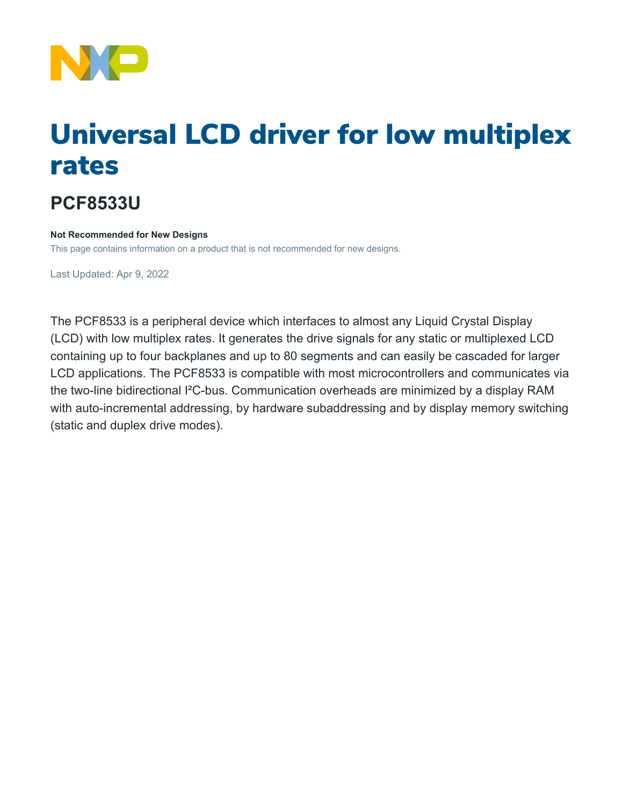

# Universal LCD driver for low multiplex rates

## **PCF8533U**

#### **Not Recommended for New Designs**

This page contains information on a product that is not recommended for new designs.

Last Updated: Apr 9, 2022

The PCF8533 is a peripheral device which interfaces to almost any Liquid Crystal Display (LCD) with low multiplex rates. It generates the drive signals for any static or multiplexed LCD containing up to four backplanes and up to 80 segments and can easily be cascaded for larger LCD applications. The PCF8533 is compatible with most microcontrollers and communicates via the two-line bidirectional I²C-bus. Communication overheads are minimized by a display RAM with auto-incremental addressing, by hardware subaddressing and by display memory switching (static and duplex drive modes).